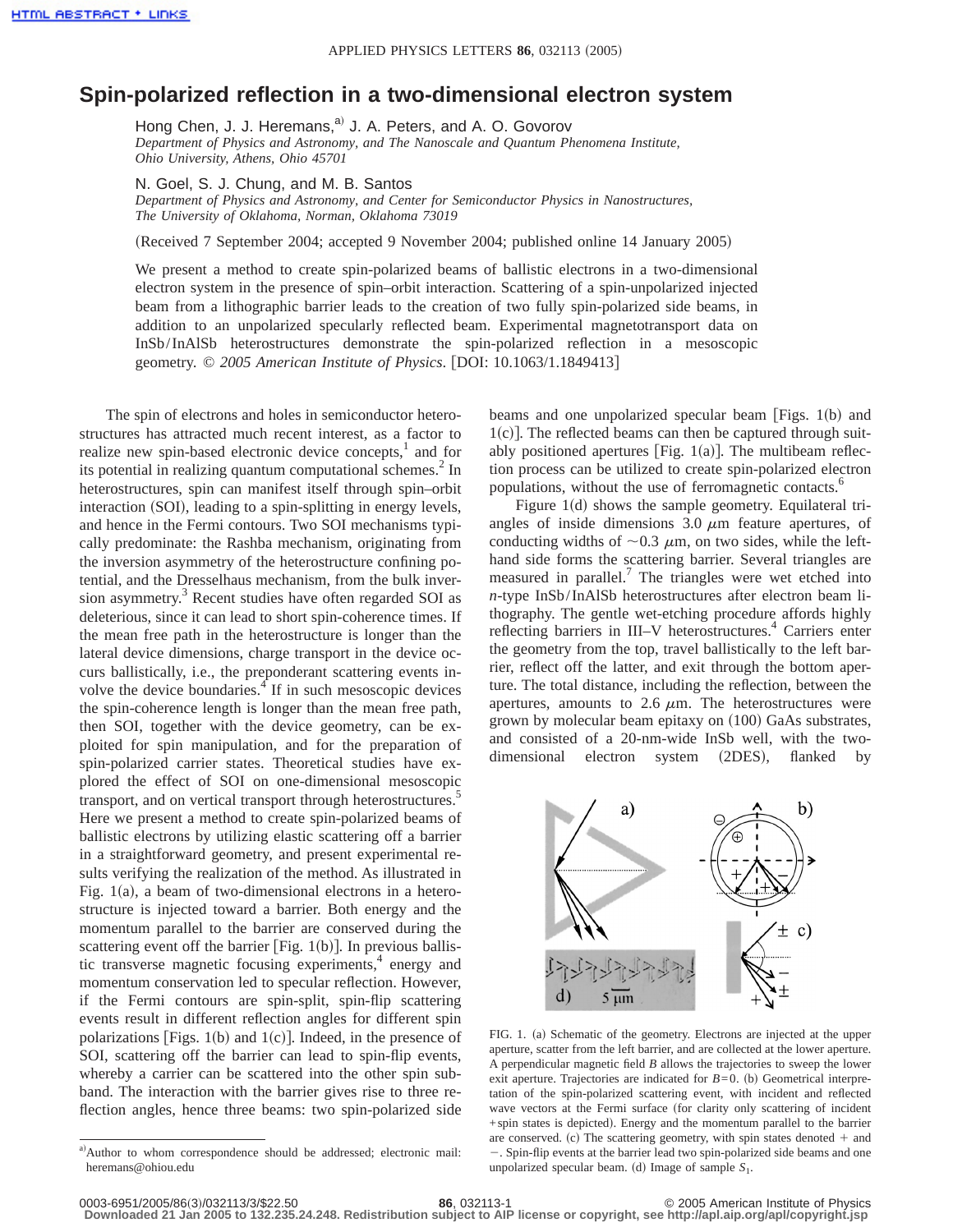## **Spin-polarized reflection in a two-dimensional electron system**

Hong Chen, J. J. Heremans,<sup>a)</sup> J. A. Peters, and A. O. Govorov *Department of Physics and Astronomy, and The Nanoscale and Quantum Phenomena Institute, Ohio University, Athens, Ohio 45701*

N. Goel, S. J. Chung, and M. B. Santos

*Department of Physics and Astronomy, and Center for Semiconductor Physics in Nanostructures, The University of Oklahoma, Norman, Oklahoma 73019*

(Received 7 September 2004; accepted 9 November 2004; published online 14 January 2005)

We present a method to create spin-polarized beams of ballistic electrons in a two-dimensional electron system in the presence of spin–orbit interaction. Scattering of a spin-unpolarized injected beam from a lithographic barrier leads to the creation of two fully spin-polarized side beams, in addition to an unpolarized specularly reflected beam. Experimental magnetotransport data on InSb/InAlSb heterostructures demonstrate the spin-polarized reflection in a mesoscopic geometry. © 2005 American Institute of Physics. [DOI: 10.1063/1.1849413]

The spin of electrons and holes in semiconductor heterostructures has attracted much recent interest, as a factor to realize new spin-based electronic device concepts, $<sup>1</sup>$  and for</sup> its potential in realizing quantum computational schemes. $^{2}$  In heterostructures, spin can manifest itself through spin–orbit interaction (SOI), leading to a spin-splitting in energy levels, and hence in the Fermi contours. Two SOI mechanisms typically predominate: the Rashba mechanism, originating from the inversion asymmetry of the heterostructure confining potential, and the Dresselhaus mechanism, from the bulk inversion asymmetry.<sup>3</sup> Recent studies have often regarded SOI as deleterious, since it can lead to short spin-coherence times. If the mean free path in the heterostructure is longer than the lateral device dimensions, charge transport in the device occurs ballistically, i.e., the preponderant scattering events involve the device boundaries.<sup>4</sup> If in such mesoscopic devices the spin-coherence length is longer than the mean free path, then SOI, together with the device geometry, can be exploited for spin manipulation, and for the preparation of spin-polarized carrier states. Theoretical studies have explored the effect of SOI on one-dimensional mesoscopic transport, and on vertical transport through heterostructures.<sup>3</sup> Here we present a method to create spin-polarized beams of ballistic electrons by utilizing elastic scattering off a barrier in a straightforward geometry, and present experimental results verifying the realization of the method. As illustrated in Fig.  $1(a)$ , a beam of two-dimensional electrons in a heterostructure is injected toward a barrier. Both energy and the momentum parallel to the barrier are conserved during the scattering event off the barrier [Fig.  $1(b)$ ]. In previous ballistic transverse magnetic focusing experiments, $4$  energy and momentum conservation led to specular reflection. However, if the Fermi contours are spin-split, spin-flip scattering events result in different reflection angles for different spin polarizations [Figs. 1(b) and 1(c)]. Indeed, in the presence of SOI, scattering off the barrier can lead to spin-flip events, whereby a carrier can be scattered into the other spin subband. The interaction with the barrier gives rise to three reflection angles, hence three beams: two spin-polarized side beams and one unpolarized specular beam  $[Figs. 1(b)]$  and  $1(c)$ . The reflected beams can then be captured through suitably positioned apertures [Fig.  $1(a)$ ]. The multibeam reflection process can be utilized to create spin-polarized electron populations, without the use of ferromagnetic contacts.<sup>6</sup>

Figure  $1(d)$  shows the sample geometry. Equilateral triangles of inside dimensions  $3.0 \mu m$  feature apertures, of conducting widths of  $\sim$ 0.3  $\mu$ m, on two sides, while the lefthand side forms the scattering barrier. Several triangles are measured in parallel.<sup>7</sup> The triangles were wet etched into *n*-type InSb/InAlSb heterostructures after electron beam lithography. The gentle wet-etching procedure affords highly reflecting barriers in III–V heterostructures.<sup>4</sup> Carriers enter the geometry from the top, travel ballistically to the left barrier, reflect off the latter, and exit through the bottom aperture. The total distance, including the reflection, between the apertures, amounts to  $2.6 \mu m$ . The heterostructures were grown by molecular beam epitaxy on  $(100)$  GaAs substrates, and consisted of a 20-nm-wide InSb well, with the twodimensional electron system (2DES), flanked by



FIG. 1. (a) Schematic of the geometry. Electrons are injected at the upper aperture, scatter from the left barrier, and are collected at the lower aperture. A perpendicular magnetic field *B* allows the trajectories to sweep the lower exit aperture. Trajectories are indicated for  $B=0$ . (b) Geometrical interpretation of the spin-polarized scattering event, with incident and reflected wave vectors at the Fermi surface (for clarity only scattering of incident  $+$ spin states is depicted). Energy and the momentum parallel to the barrier are conserved. (c) The scattering geometry, with spin states denoted  $+$  and 2. Spin-flip events at the barrier lead two spin-polarized side beams and one unpolarized specular beam. (d) Image of sample  $S_1$ .

a)Author to whom correspondence should be addressed; electronic mail: heremans@ohiou.edu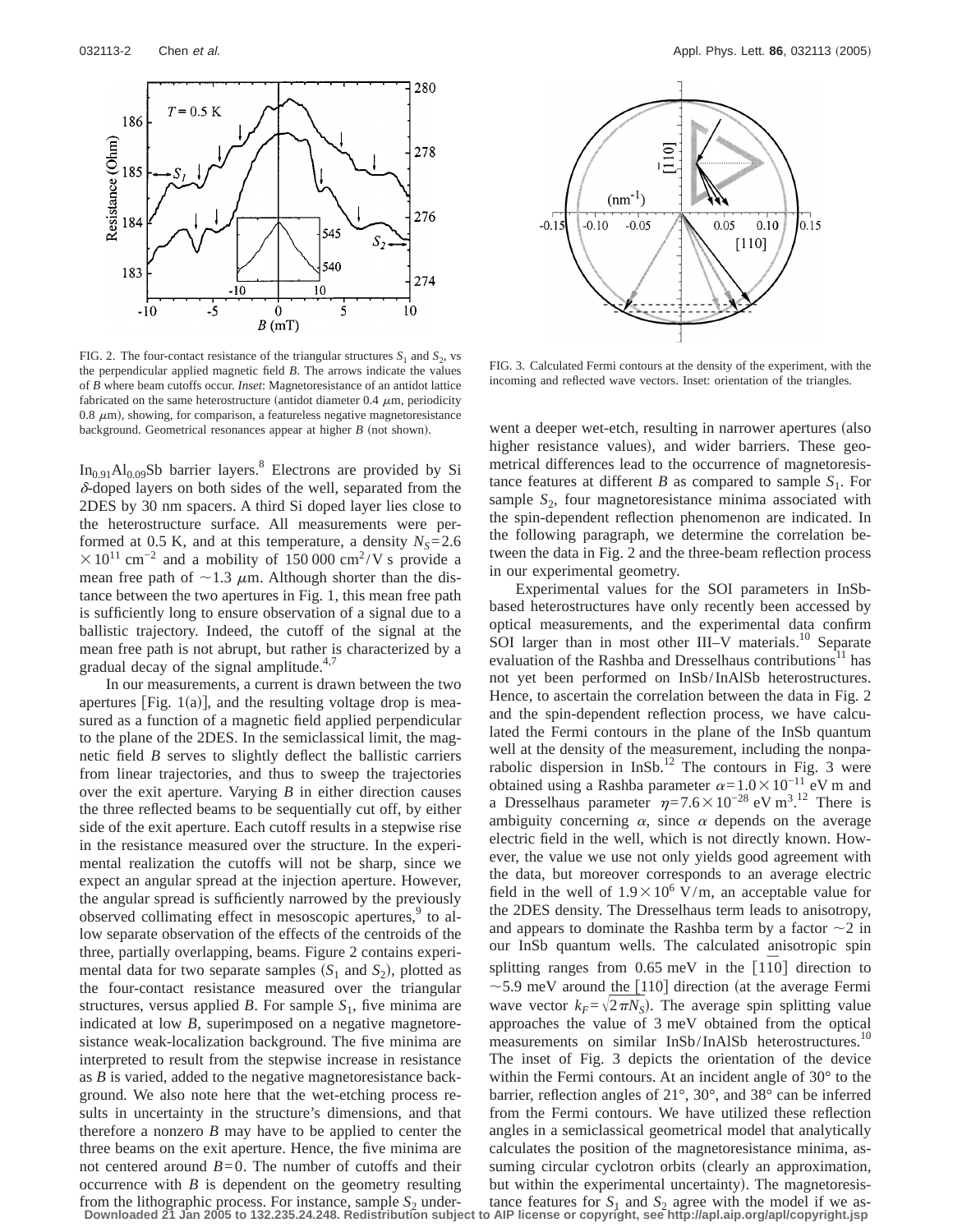

FIG. 2. The four-contact resistance of the triangular structures  $S_1$  and  $S_2$ , vs the perpendicular applied magnetic field *B*. The arrows indicate the values of *B* where beam cutoffs occur. *Inset*: Magnetoresistance of an antidot lattice fabricated on the same heterostructure (antidot diameter 0.4  $\mu$ m, periodicity 0.8  $\mu$ m), showing, for comparison, a featureless negative magnetoresistance background. Geometrical resonances appear at higher *B* (not shown).

 $In_{0.91}Al_{0.09}Sb$  barrier layers.<sup>8</sup> Electrons are provided by Si  $\delta$ -doped layers on both sides of the well, separated from the 2DES by 30 nm spacers. A third Si doped layer lies close to the heterostructure surface. All measurements were performed at 0.5 K, and at this temperature, a density  $N_s = 2.6$  $\times 10^{11}$  cm<sup>-2</sup> and a mobility of 150 000 cm<sup>2</sup>/V s provide a mean free path of  $\sim$ 1.3  $\mu$ m. Although shorter than the distance between the two apertures in Fig. 1, this mean free path is sufficiently long to ensure observation of a signal due to a ballistic trajectory. Indeed, the cutoff of the signal at the mean free path is not abrupt, but rather is characterized by a gradual decay of the signal amplitude. $4,7$ 

In our measurements, a current is drawn between the two apertures [Fig.  $1(a)$ ], and the resulting voltage drop is measured as a function of a magnetic field applied perpendicular to the plane of the 2DES. In the semiclassical limit, the magnetic field *B* serves to slightly deflect the ballistic carriers from linear trajectories, and thus to sweep the trajectories over the exit aperture. Varying *B* in either direction causes the three reflected beams to be sequentially cut off, by either side of the exit aperture. Each cutoff results in a stepwise rise in the resistance measured over the structure. In the experimental realization the cutoffs will not be sharp, since we expect an angular spread at the injection aperture. However, the angular spread is sufficiently narrowed by the previously observed collimating effect in mesoscopic apertures,<sup>9</sup> to allow separate observation of the effects of the centroids of the three, partially overlapping, beams. Figure 2 contains experimental data for two separate samples  $(S_1 \text{ and } S_2)$ , plotted as the four-contact resistance measured over the triangular structures, versus applied *B*. For sample  $S_1$ , five minima are indicated at low *B*, superimposed on a negative magnetoresistance weak-localization background. The five minima are interpreted to result from the stepwise increase in resistance as *B* is varied, added to the negative magnetoresistance background. We also note here that the wet-etching process results in uncertainty in the structure's dimensions, and that therefore a nonzero *B* may have to be applied to center the three beams on the exit aperture. Hence, the five minima are not centered around  $B=0$ . The number of cutoffs and their occurrence with *B* is dependent on the geometry resulting from the lithographic process. For instance, sample  $S_2$  under-



FIG. 3. Calculated Fermi contours at the density of the experiment, with the incoming and reflected wave vectors. Inset: orientation of the triangles.

went a deeper wet-etch, resulting in narrower apertures (also higher resistance values), and wider barriers. These geometrical differences lead to the occurrence of magnetoresistance features at different *B* as compared to sample  $S_1$ . For sample  $S_2$ , four magnetoresistance minima associated with the spin-dependent reflection phenomenon are indicated. In the following paragraph, we determine the correlation between the data in Fig. 2 and the three-beam reflection process in our experimental geometry.

Experimental values for the SOI parameters in InSbbased heterostructures have only recently been accessed by optical measurements, and the experimental data confirm SOI larger than in most other III–V materials.<sup>10</sup> Separate evaluation of the Rashba and Dresselhaus contributions<sup>11</sup> has not yet been performed on InSb/InAlSb heterostructures. Hence, to ascertain the correlation between the data in Fig. 2 and the spin-dependent reflection process, we have calculated the Fermi contours in the plane of the InSb quantum well at the density of the measurement, including the nonparabolic dispersion in InSb.<sup>12</sup> The contours in Fig. 3 were obtained using a Rashba parameter  $\alpha=1.0\times10^{-11}$  eV m and a Dresselhaus parameter  $\eta = 7.6 \times 10^{-28}$  eV m<sup>3</sup>.<sup>12</sup> There is ambiguity concerning  $\alpha$ , since  $\alpha$  depends on the average electric field in the well, which is not directly known. However, the value we use not only yields good agreement with the data, but moreover corresponds to an average electric field in the well of  $1.9 \times 10^6$  V/m, an acceptable value for the 2DES density. The Dresselhaus term leads to anisotropy, and appears to dominate the Rashba term by a factor  $\sim$ 2 in our InSb quantum wells. The calculated anisotropic spin splitting ranges from 0.65 meV in the [110] direction to  $\sim$  5.9 meV around the [110] direction (at the average Fermi wave vector  $k_F = \sqrt{2\pi N_s}$ . The average spin splitting value approaches the value of 3 meV obtained from the optical measurements on similar InSb/InAlSb heterostructures.<sup>10</sup> The inset of Fig. 3 depicts the orientation of the device within the Fermi contours. At an incident angle of 30° to the barrier, reflection angles of 21°, 30°, and 38° can be inferred from the Fermi contours. We have utilized these reflection angles in a semiclassical geometrical model that analytically calculates the position of the magnetoresistance minima, assuming circular cyclotron orbits (clearly an approximation, but within the experimental uncertainty). The magnetoresistance features for  $S_1$  and  $S_2$  agree with the model if we as-

**Downloaded 21 Jan 2005 to 132.235.24.248. Redistribution subject to AIP license or copyright, see http://apl.aip.org/apl/copyright.jsp**